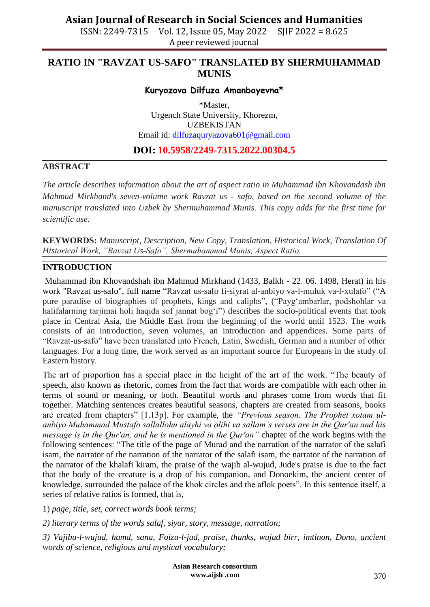ISSN: 2249-7315 Vol. 12, Issue 05, May 2022 SJIF 2022 = 8.625 A peer reviewed journal

## **RATIO IN "RAVZAT US-SAFO" TRANSLATED BY SHERMUHAMMAD MUNIS**

### **Kuryozova Dilfuza Amanbayevna\***

\*Master, Urgench State University, Khorezm, UZBEKISTAN Email id: [dilfuzaquryazova601@gmail.com](mailto:dilfuzaquryazova601@gmail.com)

### **DOI: 10.5958/2249-7315.2022.00304.5**

#### **ABSTRACT**

*The article describes information about the art of aspect ratio in Muhammad ibn Khovandash ibn Mahmud Mirkhand's seven-volume work Ravzat us - safo, based on the second volume of the manuscript translated into Uzbek by Shermuhammad Munis. This copy adds for the first time for scientific use.*

**KEYWORDS:** *Manuscript, Description, New Copy, Translation, Historical Work, Translation Of Historical Work, "Ravzat Us-Safo", Shermuhammad Munis, Aspect Ratio.*

#### **INTRODUCTION**

Muhammad ibn Khovandshah ibn Mahmud Mirkhand (1433, Balkh - 22. 06. 1498, Herat) in his work "Ravzat us-safo", full name "Ravzat us-safo fi-siyrat al-anbiyo va-l-muluk va-l-xulafo" ("A pure paradise of biographies of prophets, kings and caliphs", ("Payg"ambarlar, podshohlar va halifalarning tarjimai holi haqida sof jannat bog'i") describes the socio-political events that took place in Central Asia, the Middle East from the beginning of the world until 1523. The work consists of an introduction, seven volumes, an introduction and appendices. Some parts of "Ravzat-us-safo" have been translated into French, Latin, Swedish, German and a number of other languages. For a long time, the work served as an important source for Europeans in the study of Eastern history.

The art of proportion has a special place in the height of the art of the work. "The beauty of speech, also known as rhetoric, comes from the fact that words are compatible with each other in terms of sound or meaning, or both. Beautiful words and phrases come from words that fit together. Matching sentences creates beautiful seasons, chapters are created from seasons, books are created from chapters" [1.13p]. For example, the *"Previous season. The Prophet xotam ulanbiyo Muhammad Mustafo sallallohu alayhi va olihi va sallam"s verses are in the Qur'an and his message is in the Qur'an, and he is mentioned in the Qur'an"* chapter of the work begins with the following sentences: "The title of the page of Murad and the narration of the narrator of the salafi isam, the narrator of the narration of the narrator of the salafi isam, the narrator of the narration of the narrator of the khalafi kiram, the praise of the wajib al-wujud, Jude's praise is due to the fact that the body of the creature is a drop of his companion, and Donoekim, the ancient center of knowledge, surrounded the palace of the khok circles and the aflok poets". In this sentence itself, a series of relative ratios is formed, that is,

1) *page, title, set, correct words book terms;*

*2) literary terms of the words salaf, siyar, story, message, narration;*

*3) Vajibu-l-wujud, hamd, sana, Foizu-l-jud, praise, thanks, wujud birr, imtinon, Dono, ancient words of science, religious and mystical vocabulary;*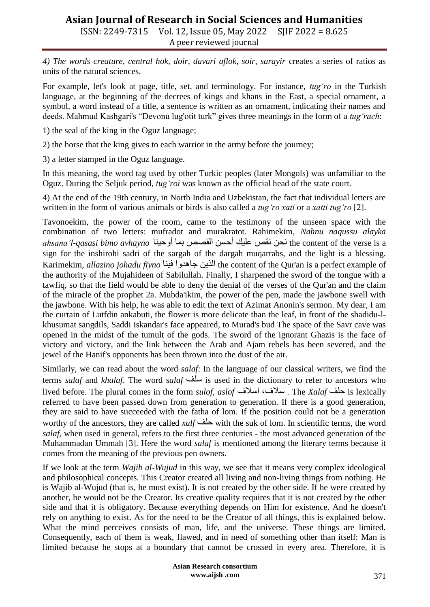# **Asian Journal of Research in Social Sciences and Humanities**

ISSN: 2249-7315 Vol. 12, Issue 05, May 2022 SJIF 2022 = 8.625 A peer reviewed journal

*4) The words creature, central hok, doir, davari aflok, soir, sarayir* creates a series of ratios as units of the natural sciences.

For example, let's look at page, title, set, and terminology. For instance, *tug"ro* in the Turkish language, at the beginning of the decrees of kings and khans in the East, a special ornament, a symbol, a word instead of a title, a sentence is written as an ornament, indicating their names and deeds. Mahmud Kashgari's "Devonu lug'otit turk" gives three meanings in the form of a *tug"rach*:

1) the seal of the king in the Oguz language;

2) the horse that the king gives to each warrior in the army before the journey;

3) a letter stamped in the Oguz language.

In this meaning, the word tag used by other Turkic peoples (later Mongols) was unfamiliar to the Oguz. During the Seljuk period, *tug"roi* was known as the official head of the state court.

4) At the end of the 19th century, in North India and Uzbekistan, the fact that individual letters are written in the form of various animals or birds is also called a *tug"ro xati* or a *xatti tug"ro* [2].

Tavonoekim, the power of the room, came to the testimony of the unseen space with the combination of two letters: mufradot and murakratot. Rahimekim, *Nahnu naqussu alayka ahsana"l-qasasi bimo avhayno* أوحينا بما القصص أحسن عليك نقص نحن the content of the verse is a sign for the inshirohi sadri of the sargah of the dargah muqarrabs, and the light is a blessing. Karimekim, *allazino johadu fiyno* فينا جاهدوا الذين the content of the Qur'an is a perfect example of the authority of the Mujahideen of Sabilullah. Finally, I sharpened the sword of the tongue with a tawfiq, so that the field would be able to deny the denial of the verses of the Qur'an and the claim of the miracle of the prophet 2a. Mubda'ikim, the power of the pen, made the jawbone swell with the jawbone. With his help, he was able to edit the text of Azimat Anonin's sermon. My dear, I am the curtain of Lutfdin ankabuti, the flower is more delicate than the leaf, in front of the shadidu-lkhusumat sangdils, Saddi Iskandar's face appeared, to Murad's bud The space of the Savr cave was opened in the midst of the tumult of the gods. The sword of the ignorant Ghazis is the face of victory and victory, and the link between the Arab and Ajam rebels has been severed, and the jewel of the Hanif's opponents has been thrown into the dust of the air.

Similarly, we can read about the word *salaf*: In the language of our classical writers, we find the terms *salaf* and *khalaf*. The word s*alaf* سلف is used in the dictionary to refer to ancestors who lived before. The plural comes in the form *sulof, aslof* اسالف ،سالف . The *Xalaf* حلف is lexically referred to have been passed down from generation to generation. If there is a good generation, they are said to have succeeded with the fatha of lom. If the position could not be a generation worthy of the ancestors, they are called *xalf* حلف with the suk of lom. In scientific terms, the word *salaf*, when used in general, refers to the first three centuries - the most advanced generation of the Muhammadan Ummah [3]. Here the word *salaf* is mentioned among the literary terms because it comes from the meaning of the previous pen owners.

If we look at the term *Wajib al-Wujud* in this way, we see that it means very complex ideological and philosophical concepts. This Creator created all living and non-living things from nothing. He is Wajib al-Wujud (that is, he must exist). It is not created by the other side. If he were created by another, he would not be the Creator. Its creative quality requires that it is not created by the other side and that it is obligatory. Because everything depends on Him for existence. And he doesn't rely on anything to exist. As for the need to be the Creator of all things, this is explained below. What the mind perceives consists of man, life, and the universe. These things are limited. Consequently, each of them is weak, flawed, and in need of something other than itself: Man is limited because he stops at a boundary that cannot be crossed in every area. Therefore, it is